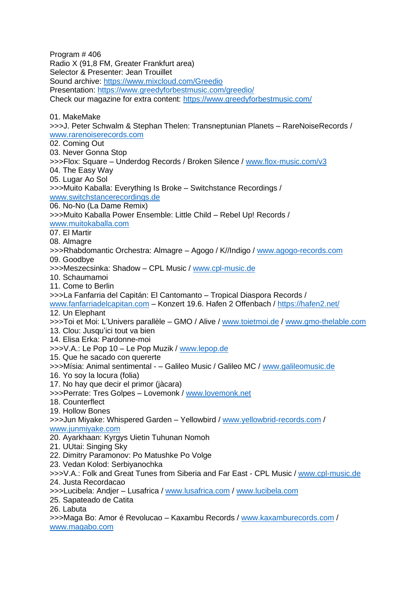Program # 406 Radio X (91,8 FM, Greater Frankfurt area) Selector & Presenter: Jean Trouillet Sound archive:<https://www.mixcloud.com/Greedio> Presentation:<https://www.greedyforbestmusic.com/greedio/> Check our magazine for extra content:<https://www.greedyforbestmusic.com/> 01. MakeMake >>>J. Peter Schwalm & Stephan Thelen: Transneptunian Planets – RareNoiseRecords / [www.rarenoiserecords.com](http://www.rarenoiserecords.com/) 02. Coming Out 03. Never Gonna Stop >>>Flox: Square – Underdog Records / Broken Silence / [www.flox-music.com/v3](http://www.flox-music.com/v3) 04. The Easy Way 05. Lugar Ao Sol >>>Muito Kaballa: Everything Is Broke – Switchstance Recordings / [www.switchstancerecordings.de](http://www.switchstancerecordings.de/) 06. No-No (La Dame Remix) >>>Muito Kaballa Power Ensemble: Little Child – Rebel Up! Records / [www.muitokaballa.com](http://www.muitokaballa.com/) 07. El Martir 08. Almagre >>>Rhabdomantic Orchestra: Almagre – Agogo / K//Indigo / [www.agogo-records.com](http://www.agogo-records.com/) 09. Goodbye >>>Meszecsinka: Shadow – CPL Music / [www.cpl-music.de](http://www.cpl-music.de/) 10. Schaumamoi 11. Come to Berlin >>>La Fanfarria del Capitán: El Cantomanto – Tropical Diaspora Records / [www.fanfarriadelcapitan.com](http://www.fanfarriadelcapitan.com/) – Konzert 19.6. Hafen 2 Offenbach /<https://hafen2.net/> 12. Un Elephant >>>Toi et Moi: L'Univers parallèle – GMO / Alive / [www.toietmoi.de](http://www.toietmoi.de/) / [www.gmo-thelable.com](http://www.gmo-thelable.com/) 13. Clou: Jusqu'ici tout va bien 14. Elisa Erka: Pardonne-moi >>>V.A.: Le Pop 10 – Le Pop Muzik / [www.lepop.de](http://www.lepop.de/) 15. Que he sacado con quererte >>>Mísia: Animal sentimental - – Galileo Music / Galileo MC / [www.galileomusic.de](http://www.galileomusic.de/) 16. Yo soy la locura (folia) 17. No hay que decir el primor (jàcara) >>>Perrate: Tres Golpes – Lovemonk / [www.lovemonk.net](http://www.lovemonk.net/) 18. Counterflect 19. Hollow Bones >>>Jun Miyake: Whispered Garden – Yellowbird / [www.yellowbrid-records.com](http://www.yellowbrid-records.com/) / [www.junmiyake.com](http://www.junmiyake.com/) 20. Ayarkhaan: Kyrgys Uietin Tuhunan Nomoh 21. UUtai: Singing Sky 22. Dimitry Paramonov: Po Matushke Po Volge 23. Vedan Kolod: Serbiyanochka >>>V.A.: Folk and Great Tunes from Siberia and Far East - CPL Music / [www.cpl-music.de](http://www.cpl-music.de/) 24. Justa Recordacao >>>Lucibela: Andjer – Lusafrica / [www.lusafrica.com](http://www.lusafrica.com/) / [www.lucibela.com](http://www.lucibela.com/) 25. Sapateado de Catita 26. Labuta >>>Maga Bo: Amor é Revolucao – Kaxambu Records / [www.kaxamburecords.com](http://www.kaxamburecords.com/) / [www.magabo.com](http://www.magabo.com/)